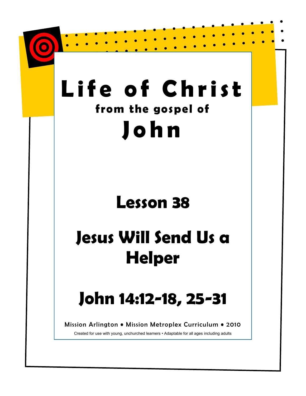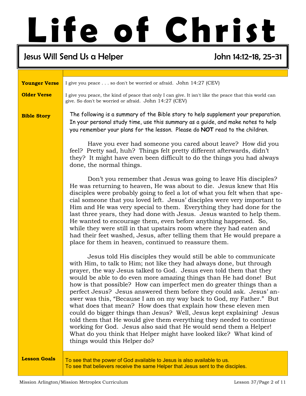# Life of Christ

#### Jesus Will Send Us a Helper John 14:12-18, 25-31

I give you peace . . . so don't be worried or afraid. John 14:27 (CEV) I give you peace, the kind of peace that only I can give. It isn't like the peace that this world can give. So don't be worried or afraid. John 14:27 (CEV) Bible Story Younger Verse Older Verse Lesson Goals The following is a summary of the Bible story to help supplement your preparation. In your personal study time, use this summary as a guide, and make notes to help you remember your plans for the lesson. Please do NOT read to the children. Have you ever had someone you cared about leave? How did you feel? Pretty sad, huh? Things felt pretty different afterwards, didn't they? It might have even been difficult to do the things you had always done, the normal things. Don't you remember that Jesus was going to leave His disciples? He was returning to heaven, He was about to die. Jesus knew that His disciples were probably going to feel a lot of what you felt when that special someone that you loved left. Jesus' disciples were very important to Him and He was very special to them. Everything they had done for the last three years, they had done with Jesus. Jesus wanted to help them. He wanted to encourage them, even before anything happened. So, while they were still in that upstairs room where they had eaten and had their feet washed, Jesus, after telling them that He would prepare a place for them in heaven, continued to reassure them. Jesus told His disciples they would still be able to communicate with Him, to talk to Him; not like they had always done, but through prayer, the way Jesus talked to God. Jesus even told them that they would be able to do even more amazing things than He had done! But how is that possible? How can imperfect men do greater things than a perfect Jesus? Jesus answered them before they could ask. Jesus' answer was this, "Because I am on my way back to God, my Father." But what does that mean? How does that explain how these eleven men could do bigger things than Jesus? Well, Jesus kept explaining! Jesus told them that He would give them everything they needed to continue working for God. Jesus also said that He would send them a Helper! What do you think that Helper might have looked like? What kind of things would this Helper do? To see that the power of God available to Jesus is also available to us. To see that believers receive the same Helper that Jesus sent to the disciples.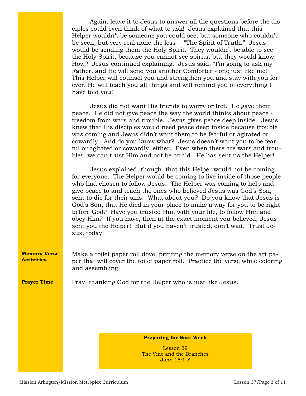| Again, leave it to Jesus to answer all the questions before the dis-   |
|------------------------------------------------------------------------|
| ciples could even think of what to ask! Jesus explained that this      |
| Helper wouldn't be someone you could see, but someone who couldn't     |
| be seen, but very real none the less - "The Spirit of Truth." Jesus    |
| would be sending them the Holy Spirit. They wouldn't be able to see    |
| the Holy Spirit, because you cannot see spirits, but they would know.  |
| How? Jesus continued explaining. Jesus said, "I'm going to ask my      |
| Father, and He will send you another Comforter - one just like me!     |
| This Helper will counsel you and strengthen you and stay with you for- |
| ever. He will teach you all things and will remind you of everything I |
| have told you!"                                                        |
|                                                                        |

 Jesus did not want His friends to worry or fret. He gave them peace. He did not give peace the way the world thinks about peace freedom from wars and trouble. Jesus gives peace deep inside. Jesus knew that His disciples would need peace deep inside because trouble was coming and Jesus didn't want them to be fearful or agitated or cowardly. And do you know what? Jesus doesn't want you to be fearful or agitated or cowardly, either. Even when there are wars and troubles, we can trust Him and not be afraid. He has sent us the Helper!

 Jesus explained, though, that this Helper would not be coming for everyone. The Helper would be coming to live inside of those people who had chosen to follow Jesus. The Helper was coming to help and give peace to and teach the ones who believed Jesus was God's Son, sent to die for their sins. What about you? Do you know that Jesus is God's Son, that He died in your place to make a way for you to be right before God? Have you trusted Him with your life, to follow Him and obey Him? If you have, then at the exact moment you believed, Jesus sent you the Helper! But if you haven't trusted, don't wait. Trust Jesus, today!

Make a toilet paper roll dove, printing the memory verse on the art paper that will cover the toilet paper roll. Practice the verse while coloring and assembling. Memory Verse **Activities** 

Prayer Time

Pray, thanking God for the Helper who is just like Jesus.

Preparing for Next Week

Lesson 39 The Vine and the Branches John 15:1-8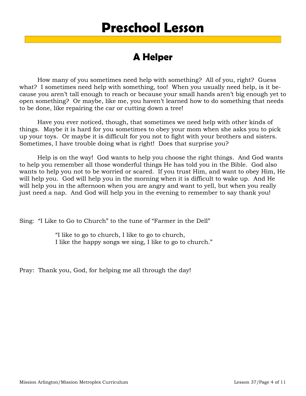### Preschool Lesson

#### A Helper

 How many of you sometimes need help with something? All of you, right? Guess what? I sometimes need help with something, too! When you usually need help, is it because you aren't tall enough to reach or because your small hands aren't big enough yet to open something? Or maybe, like me, you haven't learned how to do something that needs to be done, like repairing the car or cutting down a tree!

 Have you ever noticed, though, that sometimes we need help with other kinds of things. Maybe it is hard for you sometimes to obey your mom when she asks you to pick up your toys. Or maybe it is difficult for you not to fight with your brothers and sisters. Sometimes, I have trouble doing what is right! Does that surprise you?

 Help is on the way! God wants to help you choose the right things. And God wants to help you remember all those wonderful things He has told you in the Bible. God also wants to help you not to be worried or scared. If you trust Him, and want to obey Him, He will help you. God will help you in the morning when it is difficult to wake up. And He will help you in the afternoon when you are angry and want to yell, but when you really just need a nap. And God will help you in the evening to remember to say thank you!

Sing: "I Like to Go to Church" to the tune of "Farmer in the Dell"

 "I like to go to church, I like to go to church, I like the happy songs we sing, I like to go to church."

Pray: Thank you, God, for helping me all through the day!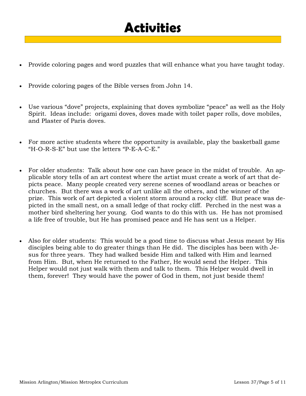# **Activities**

- Provide coloring pages and word puzzles that will enhance what you have taught today.
- Provide coloring pages of the Bible verses from John 14.
- Use various "dove" projects, explaining that doves symbolize "peace" as well as the Holy Spirit. Ideas include: origami doves, doves made with toilet paper rolls, dove mobiles, and Plaster of Paris doves.
- For more active students where the opportunity is available, play the basketball game "H-O-R-S-E" but use the letters "P-E-A-C-E."
- For older students: Talk about how one can have peace in the midst of trouble. An applicable story tells of an art contest where the artist must create a work of art that depicts peace. Many people created very serene scenes of woodland areas or beaches or churches. But there was a work of art unlike all the others, and the winner of the prize. This work of art depicted a violent storm around a rocky cliff. But peace was depicted in the small nest, on a small ledge of that rocky cliff. Perched in the nest was a mother bird sheltering her young. God wants to do this with us. He has not promised a life free of trouble, but He has promised peace and He has sent us a Helper.
- Also for older students: This would be a good time to discuss what Jesus meant by His disciples being able to do greater things than He did. The disciples has been with Jesus for three years. They had walked beside Him and talked with Him and learned from Him. But, when He returned to the Father, He would send the Helper. This Helper would not just walk with them and talk to them. This Helper would dwell in them, forever! They would have the power of God in them, not just beside them!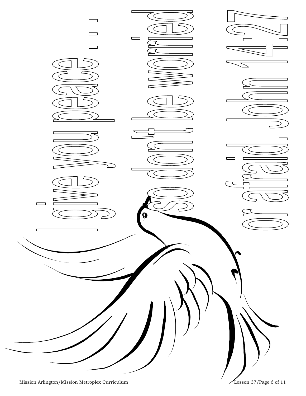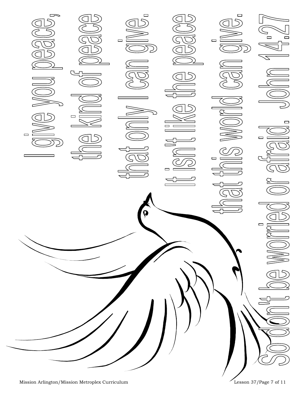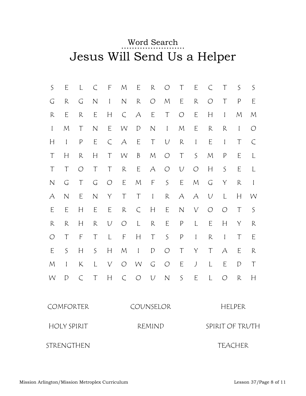#### Word Search Jesus Will Send Us a Helper

| $\mathsf S$  | E                        | L                                                                                                                         | $\subset$    | F                | M             | E             | R             | $\bigcirc$   | T                | E              | C                         | T                | $\mathsf S$                                                                                                                                                                                                                                                                                                                                                                                                                                              | $\mathsf S$   |  |
|--------------|--------------------------|---------------------------------------------------------------------------------------------------------------------------|--------------|------------------|---------------|---------------|---------------|--------------|------------------|----------------|---------------------------|------------------|----------------------------------------------------------------------------------------------------------------------------------------------------------------------------------------------------------------------------------------------------------------------------------------------------------------------------------------------------------------------------------------------------------------------------------------------------------|---------------|--|
| G            | $\mathsf{R}$             | G                                                                                                                         | $\mathbb N$  | $\mathbf{I}$     | $\mathsf N$   | $\mathsf{R}$  | $\bigcirc$    | $\mathcal M$ | E                | $\mathsf R$    | $\bigcirc$                | $\top$           | $\mathsf{P}$                                                                                                                                                                                                                                                                                                                                                                                                                                             | E             |  |
| R            | E                        | R                                                                                                                         | E            | H                | $\subset$     | А             | $\mathsf E$   | T            | $\bigcirc$       | E              | H                         | $\mathbf{I}$     | $\mathcal M$                                                                                                                                                                                                                                                                                                                                                                                                                                             | $\mathcal M$  |  |
| $\mathbf{I}$ | $\mathcal M$             | T                                                                                                                         | $\mathsf{N}$ | E                | W             | $\mathcal{D}$ | $\hbox{N}$    | $\mathbf{I}$ | ${\cal M}$       | E              | $\mathsf R$               | $\mathsf R$      | $\mathbf{I}$                                                                                                                                                                                                                                                                                                                                                                                                                                             | $\bigcirc$    |  |
| H            | $\mathbf{I}$             | $\mathsf{P}% _{0}\!\left( \mathcal{M}_{0}\right) ^{T}\!\left( \mathcal{M}_{0}\right) ^{T}\!\left( \mathcal{M}_{0}\right)$ | E            | $\subset$        | A             | E             | $\top$        | $\cup$       | $\mathsf R$      | $\mathbf{I}$   | E                         | $\mathbf{I}$     | $\top$                                                                                                                                                                                                                                                                                                                                                                                                                                                   | $\subset$     |  |
| T            | H                        | $\mathsf R$                                                                                                               | Н            | $\top$           | W             | $\beta$       | $\mathcal M$  | $\bigcirc$   | $\top$           | S              | ${\cal M}$                | $\boldsymbol{P}$ | E                                                                                                                                                                                                                                                                                                                                                                                                                                                        | L             |  |
| T            | T                        | $\bigcirc$                                                                                                                | T            | T                | ${\mathsf R}$ | $\mathsf E$   | $\forall$     | $\bigcirc$   | $\cup$           | $\bigcirc$     | $\boldsymbol{\mathsf{H}}$ | $\mathsf S$      | E                                                                                                                                                                                                                                                                                                                                                                                                                                                        | L             |  |
| $\mathbb N$  | G                        | $\top$                                                                                                                    | $\mathsf G$  | $\bigcirc$       | E             | ${\cal M}$    | $\mathsf F$   | $\mathsf S$  | E                | ${\cal M}$     | $\mathsf G$               | $\mathsf Y$      | $\mathsf{R}% _{T}=\mathsf{R}_{T}\!\left( a,b\right) ,\ \mathsf{R}_{T}=\mathsf{R}_{T}\!\left( a,b\right) ,\ \mathsf{R}_{T}=\mathsf{R}_{T}\!\left( a,b\right) ,\ \mathsf{R}_{T}=\mathsf{R}_{T}\!\left( a,b\right) ,\ \mathsf{R}_{T}=\mathsf{R}_{T}\!\left( a,b\right) ,\ \mathsf{R}_{T}=\mathsf{R}_{T}\!\left( a,b\right) ,\ \mathsf{R}_{T}=\mathsf{R}_{T}\!\left( a,b\right) ,\ \mathsf{R}_{T}=\mathsf{R}_{T}\!\left( a,b\right) ,\ \mathsf{R}_{T}=\math$ | $\mathbf{I}$  |  |
| А            | $\mathsf{N}$             | E                                                                                                                         | $\hbox{N}$   | $\mathsf Y$      | $\top$        | $\top$        | $\mathbf{l}$  | $\mathsf R$  | A                | A              | $\cal U$                  | L                | H                                                                                                                                                                                                                                                                                                                                                                                                                                                        | W             |  |
| E            | E                        | H                                                                                                                         | E            | E                | ${\mathsf R}$ | $\subset$     | H             | E            | $\hbox{N}$       | $\bigvee$      | $\bigcirc$                | $\bigcirc$       | $\top$                                                                                                                                                                                                                                                                                                                                                                                                                                                   | $\mathsf S$   |  |
| $\mathsf R$  | $\mathsf R$              | H                                                                                                                         | $\mathsf R$  | $\cup$           | $\bigcirc$    | L             | ${\mathsf R}$ | E            | $\boldsymbol{P}$ | L              | E                         | H                | Y                                                                                                                                                                                                                                                                                                                                                                                                                                                        | $\mathsf R$   |  |
| $\bigcirc$   | $\top$                   | $\mathsf F$                                                                                                               | $\top$       | L                | $\mathsf F$   | H             | $\top$        | $\mathsf S$  | $\boldsymbol{P}$ | $\mathbf{I}$   | ${\sf R}$                 | $\mathbf{I}$     | $\top$                                                                                                                                                                                                                                                                                                                                                                                                                                                   | E             |  |
| E            | $\mathsf S$              | H                                                                                                                         | $\mathsf{S}$ | H                | ${\cal M}$    | $\mathbf{I}$  | D             | $\bigcirc$   | $\top$           | Y              | $\top$                    | А                | E                                                                                                                                                                                                                                                                                                                                                                                                                                                        | ${\mathsf R}$ |  |
| $\mathcal M$ | $\overline{\phantom{a}}$ | K                                                                                                                         | L            | $\bigvee$        | $\bigcirc$    | W             | $\mathsf G$   | $\bigcirc$   | E                | $\int$         | L                         | E                | $\mathcal{D}$                                                                                                                                                                                                                                                                                                                                                                                                                                            | $\top$        |  |
| W            | D                        | $\subset$                                                                                                                 | $\top$       | $\boldsymbol{H}$ | $\subset$     | $\bigcirc$    | $\cal U$      | $\hbox{N}$   | $\mathsf{S}$     | E              | L                         | $\bigcirc$       | ${\mathsf R}$                                                                                                                                                                                                                                                                                                                                                                                                                                            | H             |  |
|              |                          | COMFORTER                                                                                                                 |              |                  |               | COUNSELOR     |               |              |                  |                |                           |                  | HELPER                                                                                                                                                                                                                                                                                                                                                                                                                                                   |               |  |
|              |                          | <b>HOLY SPIRIT</b>                                                                                                        |              |                  |               | REMIND        |               |              |                  |                |                           | SPIRIT OF TRUTH  |                                                                                                                                                                                                                                                                                                                                                                                                                                                          |               |  |
| STRENGTHEN   |                          |                                                                                                                           |              |                  |               |               |               |              |                  | <b>TEACHER</b> |                           |                  |                                                                                                                                                                                                                                                                                                                                                                                                                                                          |               |  |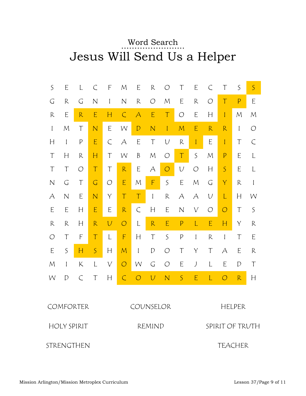#### Word Search Jesus Will Send Us a Helper

| $\mathsf S$                  | E                                                                                                                                                                                                                                                                                                                                                                                                                                                        | L                                                                                                                                                                                                                                                                                                                                                                                                                                                        | $\subset$                 | F            | $\mathcal M$ | E                        | $\mathsf R$                    | O                         | Τ                         | E            | $\subset$     | T                                                                                                             | $\mathsf S$   | $\mathsf{S}$                                                                                                                                                                                                                                                                                                                                                                                                                                             |  |
|------------------------------|----------------------------------------------------------------------------------------------------------------------------------------------------------------------------------------------------------------------------------------------------------------------------------------------------------------------------------------------------------------------------------------------------------------------------------------------------------|----------------------------------------------------------------------------------------------------------------------------------------------------------------------------------------------------------------------------------------------------------------------------------------------------------------------------------------------------------------------------------------------------------------------------------------------------------|---------------------------|--------------|--------------|--------------------------|--------------------------------|---------------------------|---------------------------|--------------|---------------|---------------------------------------------------------------------------------------------------------------|---------------|----------------------------------------------------------------------------------------------------------------------------------------------------------------------------------------------------------------------------------------------------------------------------------------------------------------------------------------------------------------------------------------------------------------------------------------------------------|--|
| G                            | $\mathsf R$                                                                                                                                                                                                                                                                                                                                                                                                                                              | G                                                                                                                                                                                                                                                                                                                                                                                                                                                        | $\mathsf{N}$              | $\mathbf{I}$ | $\mathsf{N}$ | $\mathsf R$              | $\bigcirc$                     | $\mathcal M$              | E                         | $\mathsf R$  | $\bigcirc$    | $\boldsymbol{\mathsf{T}}$                                                                                     | $\mathsf{P}$  | E                                                                                                                                                                                                                                                                                                                                                                                                                                                        |  |
| $\mathsf R$                  | E                                                                                                                                                                                                                                                                                                                                                                                                                                                        | R                                                                                                                                                                                                                                                                                                                                                                                                                                                        | E                         | $H_{\rm}$    | $\subset$    | $\overline{\mathcal{A}}$ | $\mathsf E$                    | $\boldsymbol{\mathsf{T}}$ | $\bigcirc$                | E            | H             | $\mathbf{I}$                                                                                                  | ${\cal M}$    | M                                                                                                                                                                                                                                                                                                                                                                                                                                                        |  |
| $\mathbf{I}$                 | $\mathcal M$                                                                                                                                                                                                                                                                                                                                                                                                                                             | $\top$                                                                                                                                                                                                                                                                                                                                                                                                                                                   | $\mathsf{N}$              | E            | W            | $\mathsf{D}$             | $\overline{N}$                 | $\mathbf{I}$              | $\mathcal M$              | E            | ${\sf R}$     | R                                                                                                             | $\mathbf{l}$  | O                                                                                                                                                                                                                                                                                                                                                                                                                                                        |  |
| H                            | $\overline{\phantom{a}}$                                                                                                                                                                                                                                                                                                                                                                                                                                 | $\mathsf{P}$                                                                                                                                                                                                                                                                                                                                                                                                                                             | E                         | $\subset$    | A            | E                        | $\top$                         | $\cal U$                  | ${\mathsf R}$             | $\mathbf{I}$ | E             | $\mathbf{I}$                                                                                                  | $\top$        | $\subset$                                                                                                                                                                                                                                                                                                                                                                                                                                                |  |
| $\top$                       | H                                                                                                                                                                                                                                                                                                                                                                                                                                                        | $\mathsf{R}% _{T}=\mathsf{R}_{T}\!\left( a,b\right) ,\ \mathsf{R}_{T}=\mathsf{R}_{T}\!\left( a,b\right) ,\ \mathsf{R}_{T}=\mathsf{R}_{T}\!\left( a,b\right) ,\ \mathsf{R}_{T}=\mathsf{R}_{T}\!\left( a,b\right) ,\ \mathsf{R}_{T}=\mathsf{R}_{T}\!\left( a,b\right) ,\ \mathsf{R}_{T}=\mathsf{R}_{T}\!\left( a,b\right) ,\ \mathsf{R}_{T}=\mathsf{R}_{T}\!\left( a,b\right) ,\ \mathsf{R}_{T}=\mathsf{R}_{T}\!\left( a,b\right) ,\ \mathsf{R}_{T}=\math$ | H                         | $\top$       | W            | $\beta$                  | ${\cal M}$                     | $\bigcirc$                | $\top$                    | $\mathsf{S}$ | ${\cal M}$    | $\mathsf{P}$                                                                                                  | E             | L                                                                                                                                                                                                                                                                                                                                                                                                                                                        |  |
| T                            | T                                                                                                                                                                                                                                                                                                                                                                                                                                                        | $\bigcirc$                                                                                                                                                                                                                                                                                                                                                                                                                                               | $\boldsymbol{\mathsf{T}}$ | T            | R            | E                        | A                              | $\bigcirc$                | $\cal U$                  | $\bigcirc$   | H             | $\mathsf{S}$                                                                                                  | E             | L                                                                                                                                                                                                                                                                                                                                                                                                                                                        |  |
| $\mathbb N$                  | G                                                                                                                                                                                                                                                                                                                                                                                                                                                        | $\top$                                                                                                                                                                                                                                                                                                                                                                                                                                                   | $\sqrt{a}$                | $\bigcirc$   | $\mathsf E$  | M                        | $\mathsf F$                    | $\mathsf S$               | E                         | ${\cal M}$   | $\mathsf G$   | $\mathsf{Y}$                                                                                                  | $\mathsf{R}$  | $\mathbf{I}$                                                                                                                                                                                                                                                                                                                                                                                                                                             |  |
| А                            | $\mathsf{N}$                                                                                                                                                                                                                                                                                                                                                                                                                                             | E                                                                                                                                                                                                                                                                                                                                                                                                                                                        | $\mathsf{N}$              | Y            | $\top$       | $\top$                   | $\begin{array}{c} \end{array}$ | $\mathsf{R}$              | А                         | A            | $\cal U$      | $\mathsf{L}% _{0}\left( \mathcal{A}_{0}\right) ^{\ast }=\mathsf{L}_{0}\left( \mathcal{A}_{0}\right) ^{\ast }$ | H             | W                                                                                                                                                                                                                                                                                                                                                                                                                                                        |  |
| E                            | E                                                                                                                                                                                                                                                                                                                                                                                                                                                        | H                                                                                                                                                                                                                                                                                                                                                                                                                                                        | E                         | E            | ${\sf R}$    | $\subset$                | H                              | E                         | $\mathsf{N}$              | $\bigvee$    | $\bigcirc$    | $\bigcirc$                                                                                                    | $\top$        | $\mathsf S$                                                                                                                                                                                                                                                                                                                                                                                                                                              |  |
| R                            | $\mathsf{R}% _{T}=\mathsf{R}_{T}\!\left( a,b\right) ,\ \mathsf{R}_{T}=\mathsf{R}_{T}\!\left( a,b\right) ,\ \mathsf{R}_{T}=\mathsf{R}_{T}\!\left( a,b\right) ,\ \mathsf{R}_{T}=\mathsf{R}_{T}\!\left( a,b\right) ,\ \mathsf{R}_{T}=\mathsf{R}_{T}\!\left( a,b\right) ,\ \mathsf{R}_{T}=\mathsf{R}_{T}\!\left( a,b\right) ,\ \mathsf{R}_{T}=\mathsf{R}_{T}\!\left( a,b\right) ,\ \mathsf{R}_{T}=\mathsf{R}_{T}\!\left( a,b\right) ,\ \mathsf{R}_{T}=\math$ | H                                                                                                                                                                                                                                                                                                                                                                                                                                                        | ${\mathsf R}$             | $\bigcup$    | $\circ$      | L                        | R                              | E                         | $\mathsf{P}$              | L            | $\mathsf E$   | Н                                                                                                             | $\mathsf Y$   | $\mathsf R$                                                                                                                                                                                                                                                                                                                                                                                                                                              |  |
| $\bigcirc$                   | T                                                                                                                                                                                                                                                                                                                                                                                                                                                        | F                                                                                                                                                                                                                                                                                                                                                                                                                                                        | $\boldsymbol{\mathsf{T}}$ | L            | $\mathsf F$  | H                        | $\top$                         | $\mathsf S$               | $\boldsymbol{\mathsf{P}}$ | $\mathbf{I}$ | ${\mathsf R}$ | $\mathbf{l}$                                                                                                  | $\top$        | E                                                                                                                                                                                                                                                                                                                                                                                                                                                        |  |
| E                            | $\mathsf S$                                                                                                                                                                                                                                                                                                                                                                                                                                              | H                                                                                                                                                                                                                                                                                                                                                                                                                                                        | $\mathsf{S}$              | H            | $\mathcal M$ | $\mathbf{I}$             | $\mathcal{D}$                  | $\bigcirc$                | T                         | Υ            | T             | А                                                                                                             | E             | $\mathsf{R}% _{T}=\mathsf{R}_{T}\!\left( a,b\right) ,\ \mathsf{R}_{T}=\mathsf{R}_{T}\!\left( a,b\right) ,\ \mathsf{R}_{T}=\mathsf{R}_{T}\!\left( a,b\right) ,\ \mathsf{R}_{T}=\mathsf{R}_{T}\!\left( a,b\right) ,\ \mathsf{R}_{T}=\mathsf{R}_{T}\!\left( a,b\right) ,\ \mathsf{R}_{T}=\mathsf{R}_{T}\!\left( a,b\right) ,\ \mathsf{R}_{T}=\mathsf{R}_{T}\!\left( a,b\right) ,\ \mathsf{R}_{T}=\mathsf{R}_{T}\!\left( a,b\right) ,\ \mathsf{R}_{T}=\math$ |  |
| $\mathcal M$                 | $\overline{\phantom{a}}$                                                                                                                                                                                                                                                                                                                                                                                                                                 | K                                                                                                                                                                                                                                                                                                                                                                                                                                                        | L                         | $\bigvee$    | $\bigcirc$   | W                        | $\mathsf G$                    | $\bigcirc$                | E                         | J            | L             | E                                                                                                             | $\mathcal{D}$ | T                                                                                                                                                                                                                                                                                                                                                                                                                                                        |  |
| W                            | $\mathcal{D}$                                                                                                                                                                                                                                                                                                                                                                                                                                            | $\subset$                                                                                                                                                                                                                                                                                                                                                                                                                                                | T                         | $\mathsf{H}$ | $\subset$    | $\bigcirc$               | $\bigcup$                      | $\overline{N}$            | $\mathsf{S}$              | E            | L             | $\bigcirc$                                                                                                    | R             | H                                                                                                                                                                                                                                                                                                                                                                                                                                                        |  |
|                              |                                                                                                                                                                                                                                                                                                                                                                                                                                                          |                                                                                                                                                                                                                                                                                                                                                                                                                                                          |                           |              |              |                          |                                |                           |                           |              |               |                                                                                                               |               |                                                                                                                                                                                                                                                                                                                                                                                                                                                          |  |
|                              |                                                                                                                                                                                                                                                                                                                                                                                                                                                          | COMFORTER                                                                                                                                                                                                                                                                                                                                                                                                                                                |                           |              | COUNSELOR    |                          |                                |                           |                           |              | <b>HELPER</b> |                                                                                                               |               |                                                                                                                                                                                                                                                                                                                                                                                                                                                          |  |
|                              |                                                                                                                                                                                                                                                                                                                                                                                                                                                          | <b>HOLY SPIRIT</b>                                                                                                                                                                                                                                                                                                                                                                                                                                       |                           |              |              | REMIND                   |                                |                           |                           |              |               | SPIRIT OF TRUTH                                                                                               |               |                                                                                                                                                                                                                                                                                                                                                                                                                                                          |  |
| STRENGTHEN<br><b>TEACHER</b> |                                                                                                                                                                                                                                                                                                                                                                                                                                                          |                                                                                                                                                                                                                                                                                                                                                                                                                                                          |                           |              |              |                          |                                |                           |                           |              |               |                                                                                                               |               |                                                                                                                                                                                                                                                                                                                                                                                                                                                          |  |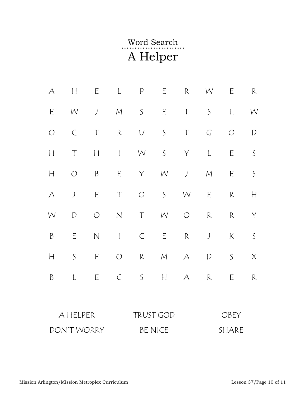## …………………... Word Search A Helper

| A                        | H           | E                   | $\mathsf{L}$                                                                                                                                                                                                                                                                                                                                                                     | $\boldsymbol{P}$ | E                         | $\mathsf R$ | W              | E            | $\mathsf R$     |  |  |
|--------------------------|-------------|---------------------|----------------------------------------------------------------------------------------------------------------------------------------------------------------------------------------------------------------------------------------------------------------------------------------------------------------------------------------------------------------------------------|------------------|---------------------------|-------------|----------------|--------------|-----------------|--|--|
| E                        | W           | $\bigcup$           | ${\cal M}$                                                                                                                                                                                                                                                                                                                                                                       | $\mathsf{S}$     | $\mathsf E$               | $\mathbf l$ | $\mathsf S$    | $\mathsf{L}$ | W               |  |  |
| $\bigcirc$               | $\subset$   | $\top$              | ${\sf R}$                                                                                                                                                                                                                                                                                                                                                                        | $\cup$           | $\mathsf{S}$              | $\top$      | $\mathsf G$    | $\bigcirc$   | ${\mathcal{D}}$ |  |  |
| H                        | $\top$      | $\mathsf{H}$        | $\begin{array}{c} \rule{0pt}{2.5ex} \rule{0pt}{2.5ex} \rule{0pt}{2.5ex} \rule{0pt}{2.5ex} \rule{0pt}{2.5ex} \rule{0pt}{2.5ex} \rule{0pt}{2.5ex} \rule{0pt}{2.5ex} \rule{0pt}{2.5ex} \rule{0pt}{2.5ex} \rule{0pt}{2.5ex} \rule{0pt}{2.5ex} \rule{0pt}{2.5ex} \rule{0pt}{2.5ex} \rule{0pt}{2.5ex} \rule{0pt}{2.5ex} \rule{0pt}{2.5ex} \rule{0pt}{2.5ex} \rule{0pt}{2.5ex} \rule{0$ | W                | $\mathsf{S}$              | $\mathsf Y$ | $\mathsf L$    | $\mathsf E$  | $\mathsf S$     |  |  |
| H                        | $\bigcirc$  | $\boldsymbol{B}$    | $\mathsf E$                                                                                                                                                                                                                                                                                                                                                                      | $\mathsf Y$      | W                         | $\int$      | ${\cal M}$     | $\mathsf E$  | $\mathsf{S}$    |  |  |
| $\overline{\mathcal{A}}$ | $\int$      | $\mathsf E$         | $\top$                                                                                                                                                                                                                                                                                                                                                                           | $\bigcirc$       | $\mathsf{S}$              | W           | $\mathsf E$    | $\mathsf R$  | H               |  |  |
| W                        | D           | $\bigcirc$          | $\mathsf{N}\xspace$                                                                                                                                                                                                                                                                                                                                                              | $\top$           | W                         | $\bigcirc$  | ${\mathsf R}$  | $\mathsf R$  | $\mathsf Y$     |  |  |
| $\boldsymbol{B}$         | $\mathsf E$ | $\mathsf{N}\xspace$ | $\mathbf{l}$                                                                                                                                                                                                                                                                                                                                                                     | $\mathcal{C}$    | $\mathsf E$               | R           | $\int$         | $\mathsf K$  | $\mathsf S$     |  |  |
| $\mathbb{H}%$            | $\mathsf S$ | $\mathsf F$         | $\bigcirc$                                                                                                                                                                                                                                                                                                                                                                       | ${\sf R}$        | ${\cal M}$                | $\forall$   | ${\mathcal D}$ | $\mathsf S$  | $\mathsf X$     |  |  |
| $\boldsymbol{\beta}$     | L           | $\mathsf E$         | $\subset$                                                                                                                                                                                                                                                                                                                                                                        | $\mathsf S$      | $\boldsymbol{\mathsf{H}}$ | A           | $\mathsf R$    | E            | $\mathsf R$     |  |  |
|                          |             |                     |                                                                                                                                                                                                                                                                                                                                                                                  |                  |                           |             |                |              |                 |  |  |
|                          | A HELPER    |                     |                                                                                                                                                                                                                                                                                                                                                                                  |                  | TRUST GOD                 |             | OBEY           |              |                 |  |  |
|                          | DON'T WORRY |                     |                                                                                                                                                                                                                                                                                                                                                                                  |                  | <b>BE NICE</b>            |             | SHARE          |              |                 |  |  |